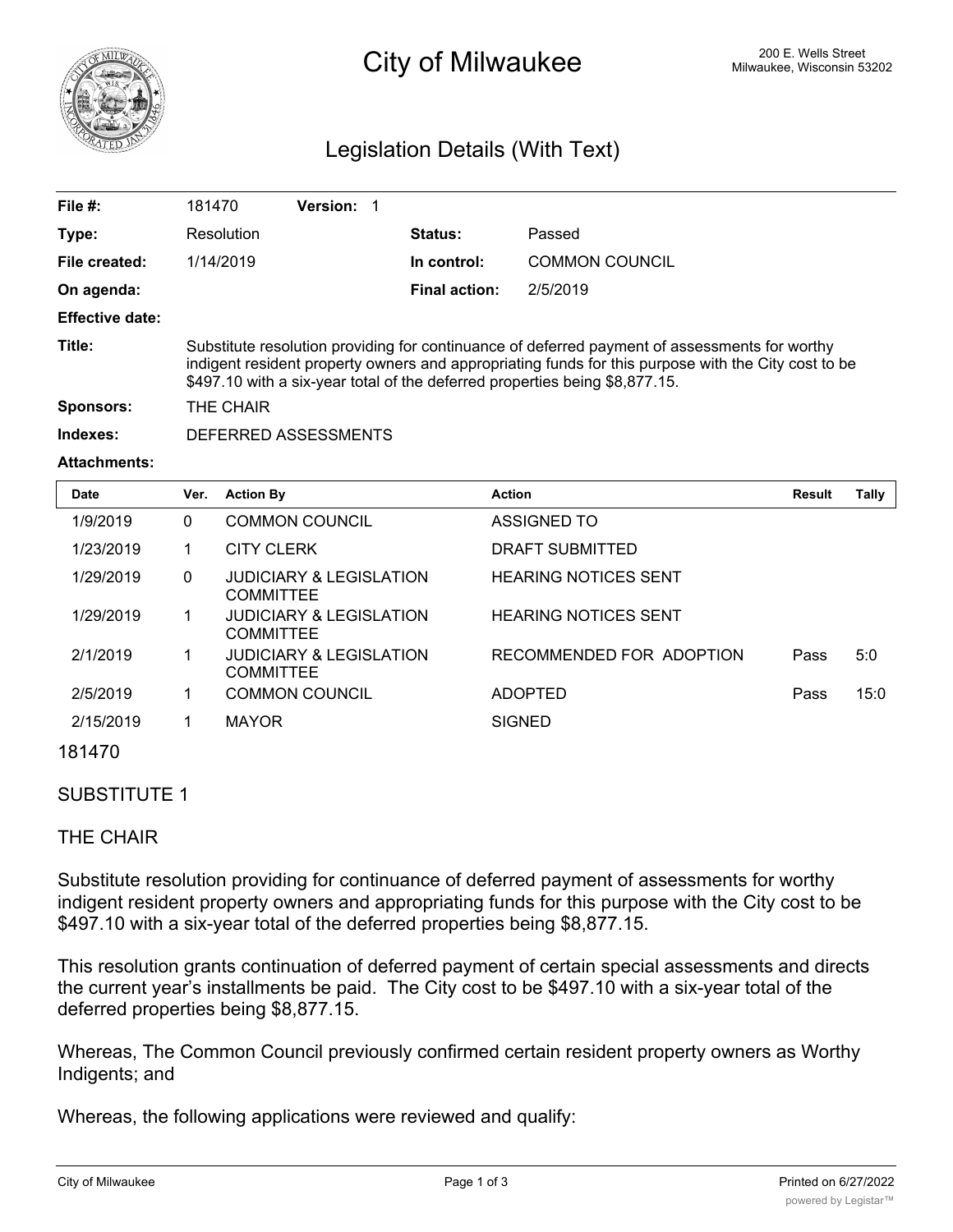

# 200 E. Wells Street 200 E. Wells Street 200 E. Wells Street 200 E. Wells Street

## Legislation Details (With Text)

| File $#$ :             | 181470                                                                                                                                                                                                                                                                              | <b>Version: 1</b> |  |                      |                       |
|------------------------|-------------------------------------------------------------------------------------------------------------------------------------------------------------------------------------------------------------------------------------------------------------------------------------|-------------------|--|----------------------|-----------------------|
| Type:                  | Resolution                                                                                                                                                                                                                                                                          |                   |  | <b>Status:</b>       | Passed                |
| File created:          | 1/14/2019                                                                                                                                                                                                                                                                           |                   |  | In control:          | <b>COMMON COUNCIL</b> |
| On agenda:             |                                                                                                                                                                                                                                                                                     |                   |  | <b>Final action:</b> | 2/5/2019              |
| <b>Effective date:</b> |                                                                                                                                                                                                                                                                                     |                   |  |                      |                       |
| Title:                 | Substitute resolution providing for continuance of deferred payment of assessments for worthy<br>indigent resident property owners and appropriating funds for this purpose with the City cost to be<br>\$497.10 with a six-year total of the deferred properties being \$8,877.15. |                   |  |                      |                       |
| <b>Sponsors:</b>       | THE CHAIR                                                                                                                                                                                                                                                                           |                   |  |                      |                       |
| Indexes:               | DEFERRED ASSESSMENTS                                                                                                                                                                                                                                                                |                   |  |                      |                       |

#### **Attachments:**

| <b>Date</b> | Ver.         | <b>Action By</b>                                       | <b>Action</b>               | <b>Result</b> | Tally |
|-------------|--------------|--------------------------------------------------------|-----------------------------|---------------|-------|
| 1/9/2019    | 0            | <b>COMMON COUNCIL</b>                                  | ASSIGNED TO                 |               |       |
| 1/23/2019   |              | <b>CITY CLERK</b>                                      | DRAFT SUBMITTED             |               |       |
| 1/29/2019   | $\mathbf{0}$ | <b>JUDICIARY &amp; LEGISLATION</b><br><b>COMMITTEE</b> | <b>HEARING NOTICES SENT</b> |               |       |
| 1/29/2019   | 1            | JUDICIARY & LEGISLATION<br><b>COMMITTEE</b>            | <b>HEARING NOTICES SENT</b> |               |       |
| 2/1/2019    | 1            | <b>JUDICIARY &amp; LEGISLATION</b><br><b>COMMITTEE</b> | RECOMMENDED FOR ADOPTION    | Pass          | 5:0   |
| 2/5/2019    |              | <b>COMMON COUNCIL</b>                                  | <b>ADOPTED</b>              | Pass          | 15:0  |
| 2/15/2019   |              | <b>MAYOR</b>                                           | <b>SIGNED</b>               |               |       |
| 101117      |              |                                                        |                             |               |       |

### 181470

#### SUBSTITUTE 1

#### THE CHAIR

Substitute resolution providing for continuance of deferred payment of assessments for worthy indigent resident property owners and appropriating funds for this purpose with the City cost to be \$497.10 with a six-year total of the deferred properties being \$8,877.15.

This resolution grants continuation of deferred payment of certain special assessments and directs the current year's installments be paid. The City cost to be \$497.10 with a six-year total of the deferred properties being \$8,877.15.

Whereas, The Common Council previously confirmed certain resident property owners as Worthy Indigents; and

Whereas, the following applications were reviewed and qualify: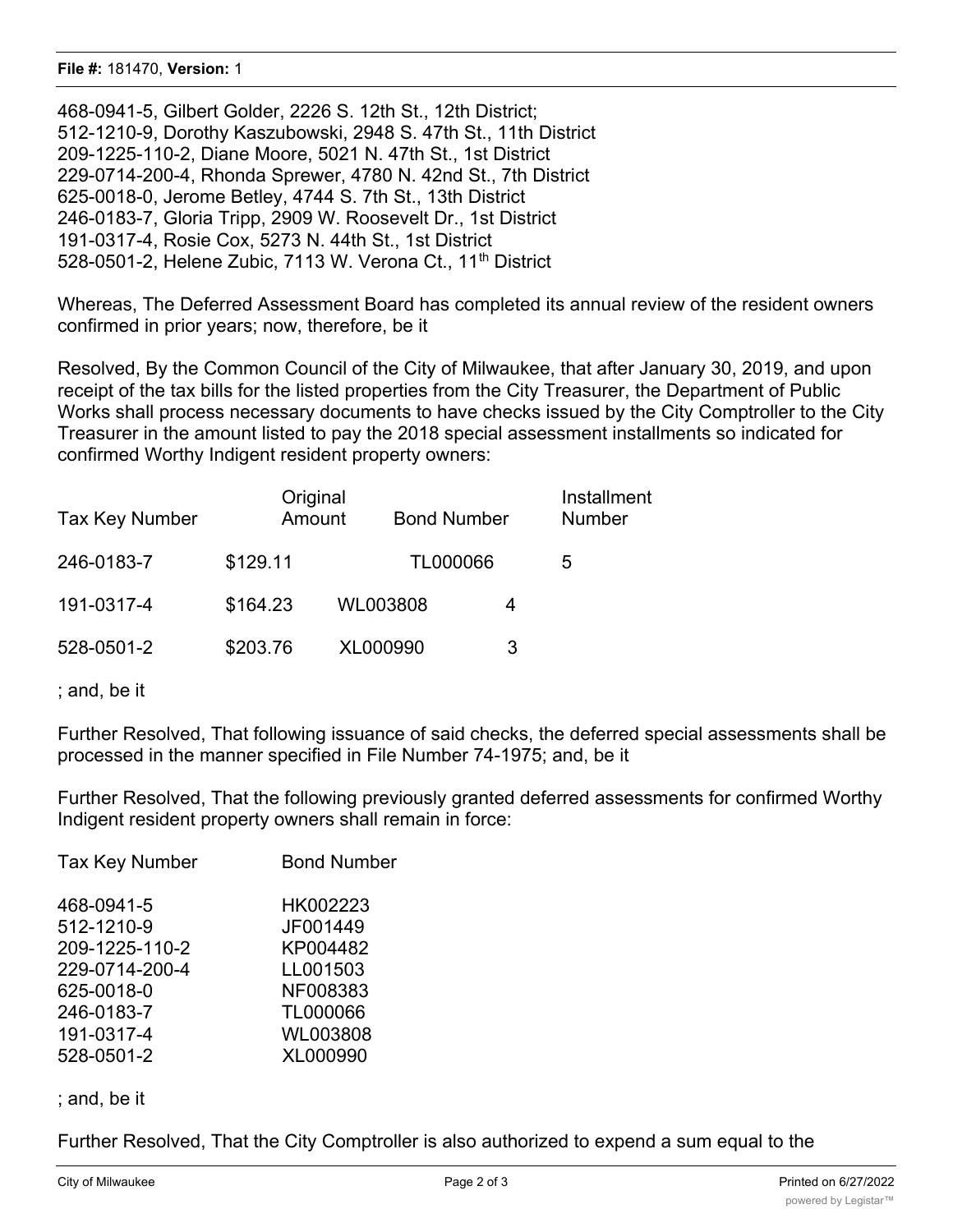468-0941-5, Gilbert Golder, 2226 S. 12th St., 12th District; 512-1210-9, Dorothy Kaszubowski, 2948 S. 47th St., 11th District 209-1225-110-2, Diane Moore, 5021 N. 47th St., 1st District 229-0714-200-4, Rhonda Sprewer, 4780 N. 42nd St., 7th District 625-0018-0, Jerome Betley, 4744 S. 7th St., 13th District 246-0183-7, Gloria Tripp, 2909 W. Roosevelt Dr., 1st District 191-0317-4, Rosie Cox, 5273 N. 44th St., 1st District 528-0501-2, Helene Zubic, 7113 W. Verona Ct., 11<sup>th</sup> District

Whereas, The Deferred Assessment Board has completed its annual review of the resident owners confirmed in prior years; now, therefore, be it

Resolved, By the Common Council of the City of Milwaukee, that after January 30, 2019, and upon receipt of the tax bills for the listed properties from the City Treasurer, the Department of Public Works shall process necessary documents to have checks issued by the City Comptroller to the City Treasurer in the amount listed to pay the 2018 special assessment installments so indicated for confirmed Worthy Indigent resident property owners:

| <b>Tax Key Number</b> | Original<br>Amount | <b>Bond Number</b> |   | Installment<br><b>Number</b> |
|-----------------------|--------------------|--------------------|---|------------------------------|
| 246-0183-7            | \$129.11           | TL000066           |   | 5                            |
| 191-0317-4            | \$164.23           | WL003808           | 4 |                              |
| 528-0501-2            | \$203.76           | XL000990           |   |                              |

; and, be it

Further Resolved, That following issuance of said checks, the deferred special assessments shall be processed in the manner specified in File Number 74-1975; and, be it

Further Resolved, That the following previously granted deferred assessments for confirmed Worthy Indigent resident property owners shall remain in force:

| <b>Tax Key Number</b> | <b>Bond Number</b> |
|-----------------------|--------------------|
| 468-0941-5            | HK002223           |
| 512-1210-9            | JF001449           |
| 209-1225-110-2        | KP004482           |
| 229-0714-200-4        | LL001503           |
| 625-0018-0            | NF008383           |
| 246-0183-7            | TL000066           |
| 191-0317-4            | WL003808           |
| 528-0501-2            | XL000990           |
|                       |                    |

; and, be it

Further Resolved, That the City Comptroller is also authorized to expend a sum equal to the